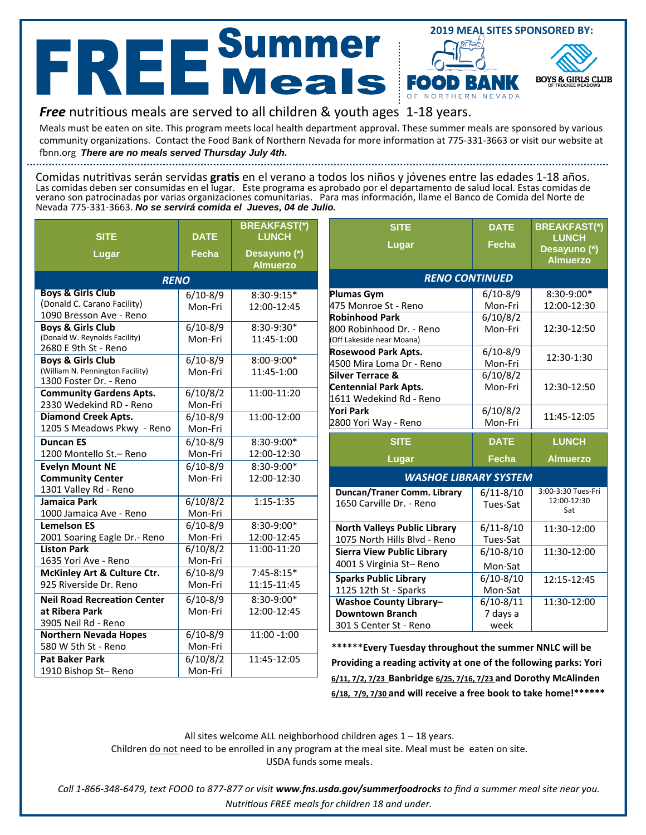## **2019 MEAL SITES SPONSORED BY: REE**Summer FOO **BOYS & GIRLS CLUB**

## *Free* nutritious meals are served to all children & youth ages 1-18 years.

Meals must be eaten on site. This program meets local health department approval. These summer meals are sponsored by various community organizations. Contact the Food Bank of Northern Nevada for more information at 775-331-3663 or visit our website at ĩ ŶŶ͘ ŽƌŐ *There are no meals served Thursday July 4th.*

Comidas nutritivas serán servidas gratis en el verano a todos los niños y jóvenes entre las edades 1-18 años. Las comidas deben ser consumidas en el lugar. Este programa es aprobado por el departamento de salud local. Estas comidas de verano son patrocinadas por varias organizaciones comunitarias. Para mas información, llame el Banco de Comida del Norte de Nevada 775-331-3663. *No se servirá comida el Jueves, 04 de Julio.*

| <b>SITE</b>                                                      | <b>DATE</b>         | <b>BREAKFAST(*)</b><br><b>LUNCH</b> |  |  |  |  |
|------------------------------------------------------------------|---------------------|-------------------------------------|--|--|--|--|
| Lugar                                                            | <b>Fecha</b>        | Desayuno (*)<br><b>Almuerzo</b>     |  |  |  |  |
| <b>RENO</b>                                                      |                     |                                     |  |  |  |  |
| <b>Boys &amp; Girls Club</b>                                     | $6/10 - 8/9$        | 8:30-9:15*                          |  |  |  |  |
| (Donald C. Carano Facility)                                      | Mon-Fri             | 12:00-12:45                         |  |  |  |  |
| 1090 Bresson Ave - Reno                                          |                     |                                     |  |  |  |  |
| <b>Boys &amp; Girls Club</b>                                     | $6/10-8/9$          | 8:30-9:30*                          |  |  |  |  |
| (Donald W. Reynolds Facility)                                    | Mon-Fri             | 11:45-1:00                          |  |  |  |  |
| 2680 E 9th St - Reno                                             |                     |                                     |  |  |  |  |
| <b>Boys &amp; Girls Club</b><br>(William N. Pennington Facility) | $6/10-8/9$          | 8:00-9:00*                          |  |  |  |  |
| 1300 Foster Dr. - Reno                                           | Mon-Fri             | 11:45-1:00                          |  |  |  |  |
| <b>Community Gardens Apts.</b>                                   | 6/10/8/2            | 11:00-11:20                         |  |  |  |  |
| 2330 Wedekind RD - Reno                                          | Mon-Fri             |                                     |  |  |  |  |
| <b>Diamond Creek Apts.</b>                                       | $6/10-8/9$          | 11:00-12:00                         |  |  |  |  |
| 1205 S Meadows Pkwy - Reno                                       | Mon-Fri             |                                     |  |  |  |  |
| <b>Duncan ES</b>                                                 | $6/10-8/9$          | 8:30-9:00*                          |  |  |  |  |
| 1200 Montello St.- Reno                                          | Mon-Fri             | 12:00-12:30                         |  |  |  |  |
| <b>Evelyn Mount NE</b>                                           | $6/10-8/9$          | 8:30-9:00*                          |  |  |  |  |
| <b>Community Center</b>                                          | Mon-Fri             | 12:00-12:30                         |  |  |  |  |
| 1301 Valley Rd - Reno                                            |                     |                                     |  |  |  |  |
| Jamaica Park                                                     | $\frac{6}{10/8}$ /2 | $1:15 - 1:35$                       |  |  |  |  |
| 1000 Jamaica Ave - Reno                                          | Mon-Fri             |                                     |  |  |  |  |
| <b>Lemelson ES</b>                                               | $6/10-8/9$          | 8:30-9:00*                          |  |  |  |  |
| 2001 Soaring Eagle Dr.- Reno                                     | Mon-Fri             | 12:00-12:45                         |  |  |  |  |
| <b>Liston Park</b>                                               | 6/10/8/2            | 11:00-11:20                         |  |  |  |  |
| 1635 Yori Ave - Reno                                             | Mon-Fri             |                                     |  |  |  |  |
| McKinley Art & Culture Ctr.                                      | $6/10-8/9$          | $7:45-8:15*$                        |  |  |  |  |
| 925 Riverside Dr. Reno                                           | Mon-Fri             | 11:15-11:45                         |  |  |  |  |
| <b>Neil Road Recreation Center</b>                               | $6/10-8/9$          | 8:30-9:00*                          |  |  |  |  |
| at Ribera Park                                                   | Mon-Fri             | 12:00-12:45                         |  |  |  |  |
| 3905 Neil Rd - Reno                                              |                     |                                     |  |  |  |  |
| <b>Northern Nevada Hopes</b>                                     | $6/10-8/9$          | 11:00 -1:00                         |  |  |  |  |
| 580 W 5th St - Reno                                              | Mon-Fri             |                                     |  |  |  |  |
| <b>Pat Baker Park</b>                                            | 6/10/8/2            | 11:45-12:05                         |  |  |  |  |
| 1910 Bishop St-Reno                                              | Mon-Fri             |                                     |  |  |  |  |

| <b>SITE</b><br>Lugar                                  | <b>DATE</b><br>Fecha  | <b>BREAKFAST(*)</b><br><b>LUNCH</b><br>Desayuno (*)<br><b>Almuerzo</b> |  |  |  |
|-------------------------------------------------------|-----------------------|------------------------------------------------------------------------|--|--|--|
| <b>RENO CONTINUED</b>                                 |                       |                                                                        |  |  |  |
| <b>Plumas Gym</b>                                     | $6/10 - 8/9$          | 8:30-9:00*                                                             |  |  |  |
| 475 Monroe St - Reno                                  | Mon-Fri               | 12:00-12:30                                                            |  |  |  |
| <b>Robinhood Park</b>                                 | $\frac{1}{6}$ /10/8/2 |                                                                        |  |  |  |
| 800 Robinhood Dr. - Reno<br>(Off Lakeside near Moana) | Mon-Fri               | 12:30-12:50                                                            |  |  |  |
| <b>Rosewood Park Apts.</b>                            | $6/10 - 8/9$          |                                                                        |  |  |  |
| 4500 Mira Loma Dr - Reno                              | Mon-Fri               | 12:30-1:30                                                             |  |  |  |
| Silver Terrace &                                      | 6/10/8/2              |                                                                        |  |  |  |
| <b>Centennial Park Apts.</b>                          | Mon-Fri               | 12:30-12:50                                                            |  |  |  |
| 1611 Wedekind Rd - Reno                               |                       |                                                                        |  |  |  |
| Yori Park                                             | 6/10/8/2              | 11:45-12:05                                                            |  |  |  |
| 2800 Yori Way - Reno                                  | Mon-Fri               |                                                                        |  |  |  |
| <b>SITE</b>                                           | <b>DATE</b>           | <b>LUNCH</b>                                                           |  |  |  |
| Lugar                                                 | Fecha                 | <b>Almuerzo</b>                                                        |  |  |  |
| <b>WASHOE LIBRARY SYSTEM</b>                          |                       |                                                                        |  |  |  |
| Duncan/Traner Comm. Library                           | $6/11 - 8/10$         | 3:00-3:30 Tues-Fri                                                     |  |  |  |
| 1650 Carville Dr. - Reno                              | Tues-Sat              | 12:00-12:30<br>Sat                                                     |  |  |  |
| <b>North Valleys Public Library</b>                   | $6/11 - 8/10$         | 11:30-12:00                                                            |  |  |  |
| 1075 North Hills Blvd - Reno                          | Tues-Sat              |                                                                        |  |  |  |
| <b>Sierra View Public Library</b>                     | $6/10-8/10$           | 11:30-12:00                                                            |  |  |  |
| 4001 S Virginia St-Reno                               | Mon-Sat               |                                                                        |  |  |  |
| <b>Sparks Public Library</b>                          | $6/10-8/10$           | 12:15-12:45                                                            |  |  |  |
| 1125 12th St - Sparks                                 | Mon-Sat               |                                                                        |  |  |  |
| <b>Washoe County Library-</b>                         | $6/10 - 8/11$         | 11:30-12:00                                                            |  |  |  |
|                                                       |                       |                                                                        |  |  |  |
| <b>Downtown Branch</b>                                | 7 days a              |                                                                        |  |  |  |

**\*\*\*\*\*\*Every Tuesday throughout the summer NNLC will be W** Solding a sectivity at one of the following parks: Yori **6/11, 7/2, 7/23 Banbridge 6/25, 7/16, 7/23 and Dorothy McAlinden 6/18, 7/9, 7/30 and will receive a free book to take home!\*\*\*\*\*\***

All sites welcome ALL neighborhood children ages 1 – 18 years.

Children do not need to be enrolled in any program at the meal site. Meal must be eaten on site. USDA funds some meals.

*Call 1-866-348-6479, text FOOD to 877-877 or visit www.fns.usda.gov/summerfoodrocks to find a summer meal site near you. Kutritious FREE meals for children 18 and under.*